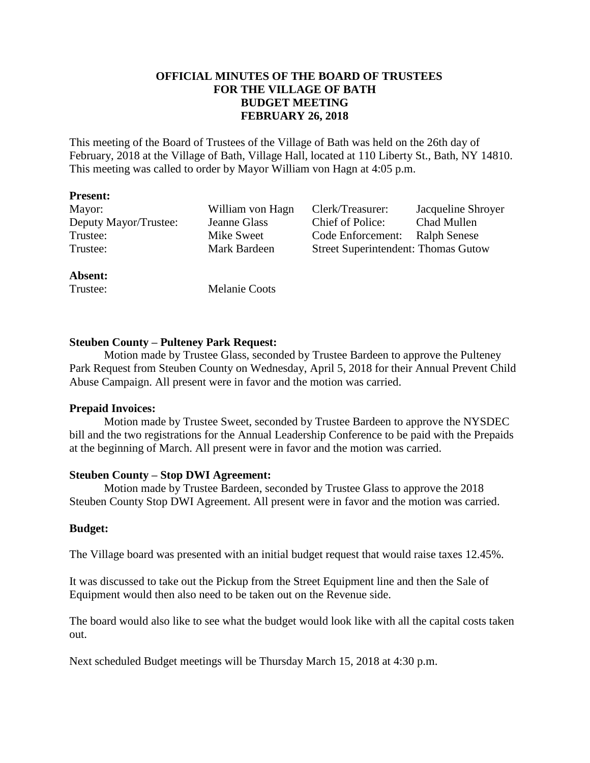# **OFFICIAL MINUTES OF THE BOARD OF TRUSTEES FOR THE VILLAGE OF BATH BUDGET MEETING FEBRUARY 26, 2018**

This meeting of the Board of Trustees of the Village of Bath was held on the 26th day of February, 2018 at the Village of Bath, Village Hall, located at 110 Liberty St., Bath, NY 14810. This meeting was called to order by Mayor William von Hagn at 4:05 p.m.

#### **Present:**

| Mayor:                | William von Hagn | Clerk/Treasurer:                           | Jacqueline Shroyer  |
|-----------------------|------------------|--------------------------------------------|---------------------|
| Deputy Mayor/Trustee: | Jeanne Glass     | Chief of Police:                           | <b>Chad Mullen</b>  |
| Trustee:              | Mike Sweet       | Code Enforcement:                          | <b>Ralph Senese</b> |
| Trustee:              | Mark Bardeen     | <b>Street Superintendent: Thomas Gutow</b> |                     |
|                       |                  |                                            |                     |

#### **Absent:**

Trustee: Melanie Coots

#### **Steuben County – Pulteney Park Request:**

Motion made by Trustee Glass, seconded by Trustee Bardeen to approve the Pulteney Park Request from Steuben County on Wednesday, April 5, 2018 for their Annual Prevent Child Abuse Campaign. All present were in favor and the motion was carried.

#### **Prepaid Invoices:**

Motion made by Trustee Sweet, seconded by Trustee Bardeen to approve the NYSDEC bill and the two registrations for the Annual Leadership Conference to be paid with the Prepaids at the beginning of March. All present were in favor and the motion was carried.

#### **Steuben County – Stop DWI Agreement:**

Motion made by Trustee Bardeen, seconded by Trustee Glass to approve the 2018 Steuben County Stop DWI Agreement. All present were in favor and the motion was carried.

# **Budget:**

The Village board was presented with an initial budget request that would raise taxes 12.45%.

It was discussed to take out the Pickup from the Street Equipment line and then the Sale of Equipment would then also need to be taken out on the Revenue side.

The board would also like to see what the budget would look like with all the capital costs taken out.

Next scheduled Budget meetings will be Thursday March 15, 2018 at 4:30 p.m.